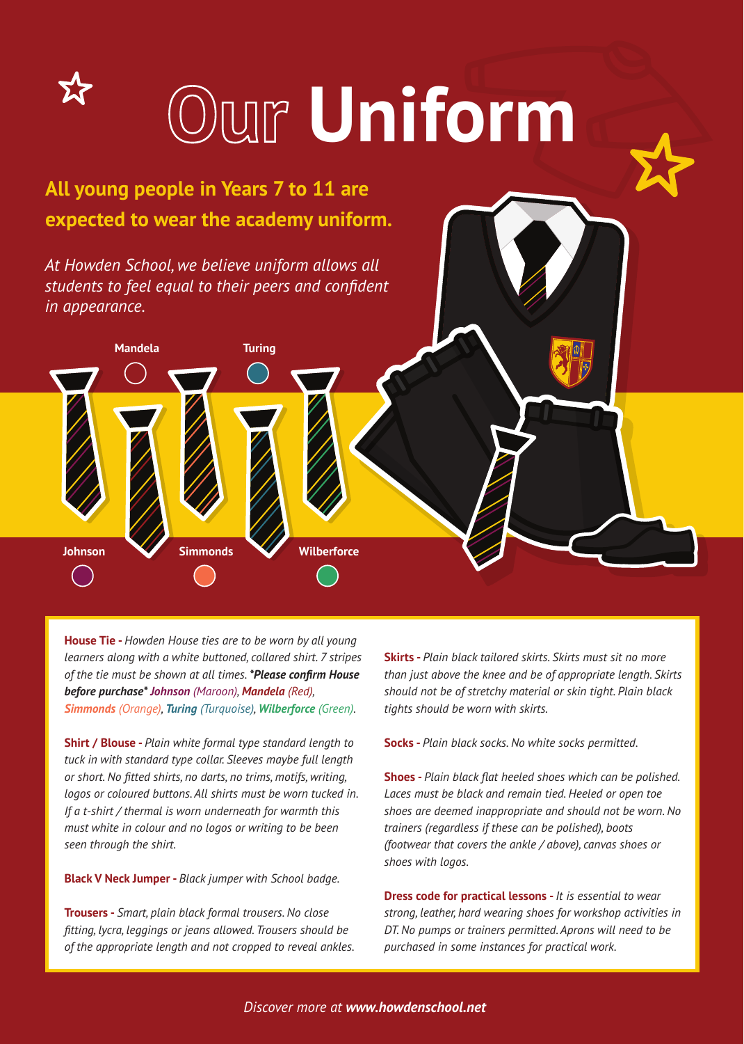

**House Tie -** *Howden House ties are to be worn by all young learners along with a white buttoned, collared shirt. 7 stripes of the tie must be shown at all times. \*Please confirm House before purchase\* Johnson (Maroon), Mandela (Red), Simmonds (Orange), Turing (Turquoise), Wilberforce (Green).*

**Shirt / Blouse -** *Plain white formal type standard length to tuck in with standard type collar. Sleeves maybe full length or short. No fitted shirts, no darts, no trims, motifs, writing, logos or coloured buttons. All shirts must be worn tucked in. If a t-shirt / thermal is worn underneath for warmth this must white in colour and no logos or writing to be been seen through the shirt.*

**Black V Neck Jumper -** *Black jumper with School badge.*

**Trousers -** *Smart, plain black formal trousers. No close fitting, lycra, leggings or jeans allowed. Trousers should be of the appropriate length and not cropped to reveal ankles.* **Skirts -** *Plain black tailored skirts. Skirts must sit no more than just above the knee and be of appropriate length. Skirts should not be of stretchy material or skin tight. Plain black tights should be worn with skirts.*

**Socks -** *Plain black socks. No white socks permitted.*

**Shoes -** *Plain black flat heeled shoes which can be polished. Laces must be black and remain tied. Heeled or open toe shoes are deemed inappropriate and should not be worn. No trainers (regardless if these can be polished), boots (footwear that covers the ankle / above), canvas shoes or shoes with logos.*

**Dress code for practical lessons -** *It is essential to wear strong, leather, hard wearing shoes for workshop activities in DT. No pumps or trainers permitted. Aprons will need to be purchased in some instances for practical work.*

*Discover more at www.howdenschool.net*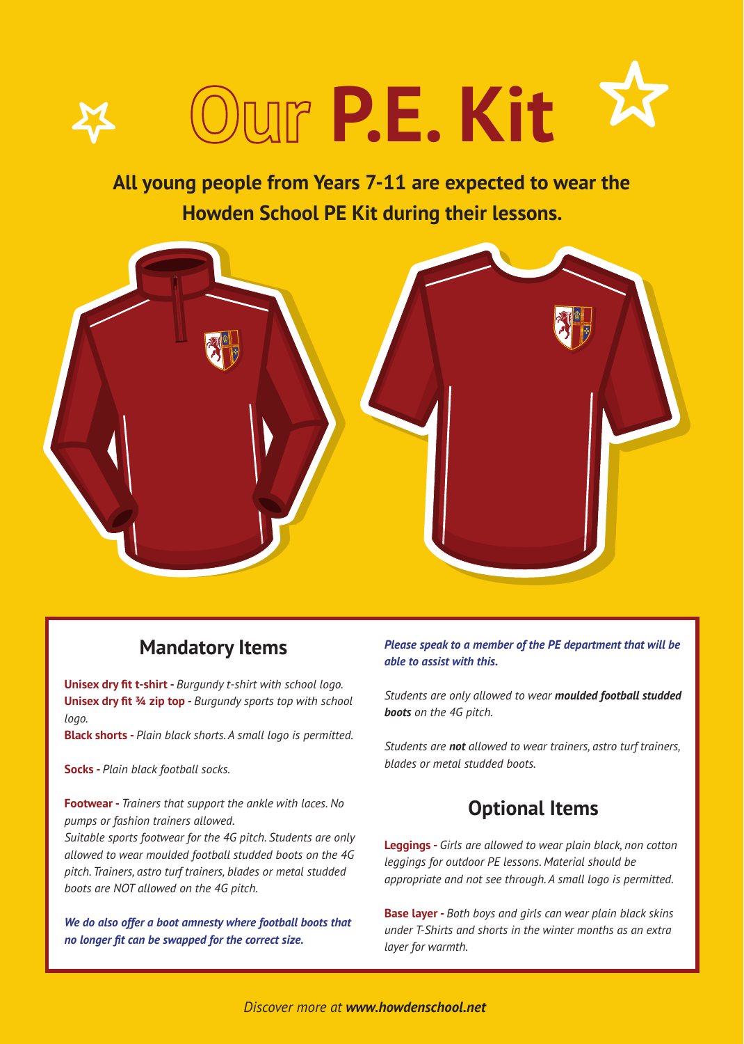

## **All young people from Years 7-11 are expected to wear the Howden School PE Kit during their lessons.**



## **Mandatory Items**

**Unisex dry fit t-shirt -** *Burgundy t-shirt with school logo.* **Unisex dry fit ¾ zip top -** *Burgundy sports top with school logo.*

**Black shorts -** *Plain black shorts. A small logo is permitted.*

**Socks -** *Plain black football socks.*

**Footwear -** *Trainers that support the ankle with laces. No pumps or fashion trainers allowed.*

*Suitable sports footwear for the 4G pitch. Students are only allowed to wear moulded football studded boots on the 4G pitch. Trainers, astro turf trainers, blades or metal studded boots are NOT allowed on the 4G pitch.*

*We do also offer a boot amnesty where football boots that no longer fit can be swapped for the correct size.* 

### *Please speak to a member of the PE department that will be able to assist with this.*

*Students are only allowed to wear moulded football studded boots on the 4G pitch.* 

*Students are not allowed to wear trainers, astro turf trainers, blades or metal studded boots.* 

## **Optional Items**

**Leggings -** *Girls are allowed to wear plain black, non cotton leggings for outdoor PE lessons. Material should be appropriate and not see through. A small logo is permitted.*

**Base layer -** *Both boys and girls can wear plain black skins under T-Shirts and shorts in the winter months as an extra layer for warmth.*